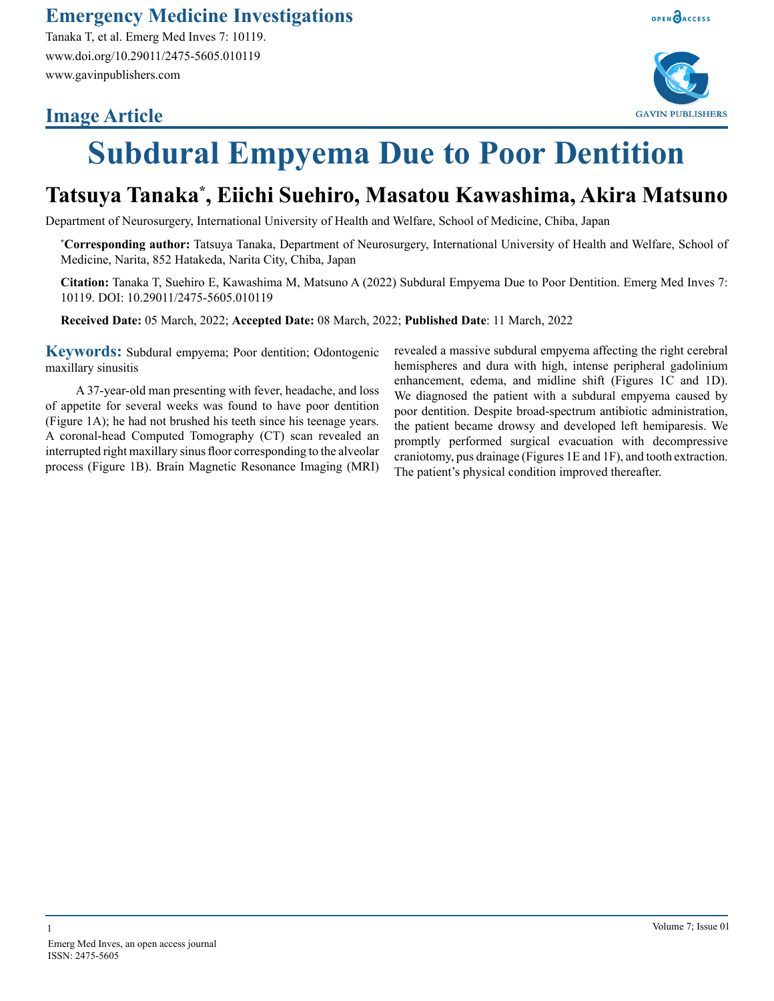### **Emergency Medicine Investigations**

Tanaka T, et al. Emerg Med Inves 7: 10119. www.doi.org/10.29011/2475-5605.010119 www.gavinpublishers.com

## **Image Article**



OPEN **BACCESS** 

# **Subdural Empyema Due to Poor Dentition**

## **Tatsuya Tanaka\* , Eiichi Suehiro, Masatou Kawashima, Akira Matsuno**

Department of Neurosurgery, International University of Health and Welfare, School of Medicine, Chiba, Japan

**\* Corresponding author:** Tatsuya Tanaka, Department of Neurosurgery, International University of Health and Welfare, School of Medicine, Narita, 852 Hatakeda, Narita City, Chiba, Japan

**Citation:** Tanaka T, Suehiro E, Kawashima M, Matsuno A (2022) Subdural Empyema Due to Poor Dentition. Emerg Med Inves 7: 10119. DOI: 10.29011/2475-5605.010119

**Received Date:** 05 March, 2022; **Accepted Date:** 08 March, 2022; **Published Date**: 11 March, 2022

**Keywords:** Subdural empyema; Poor dentition; Odontogenic maxillary sinusitis

A 37-year-old man presenting with fever, headache, and loss of appetite for several weeks was found to have poor dentition (Figure 1A); he had not brushed his teeth since his teenage years. A coronal-head Computed Tomography (CT) scan revealed an interrupted right maxillary sinus floor corresponding to the alveolar process (Figure 1B). Brain Magnetic Resonance Imaging (MRI) revealed a massive subdural empyema affecting the right cerebral hemispheres and dura with high, intense peripheral gadolinium enhancement, edema, and midline shift (Figures 1C and 1D). We diagnosed the patient with a subdural empyema caused by poor dentition. Despite broad-spectrum antibiotic administration, the patient became drowsy and developed left hemiparesis. We promptly performed surgical evacuation with decompressive craniotomy, pus drainage (Figures 1E and 1F), and tooth extraction. The patient's physical condition improved thereafter.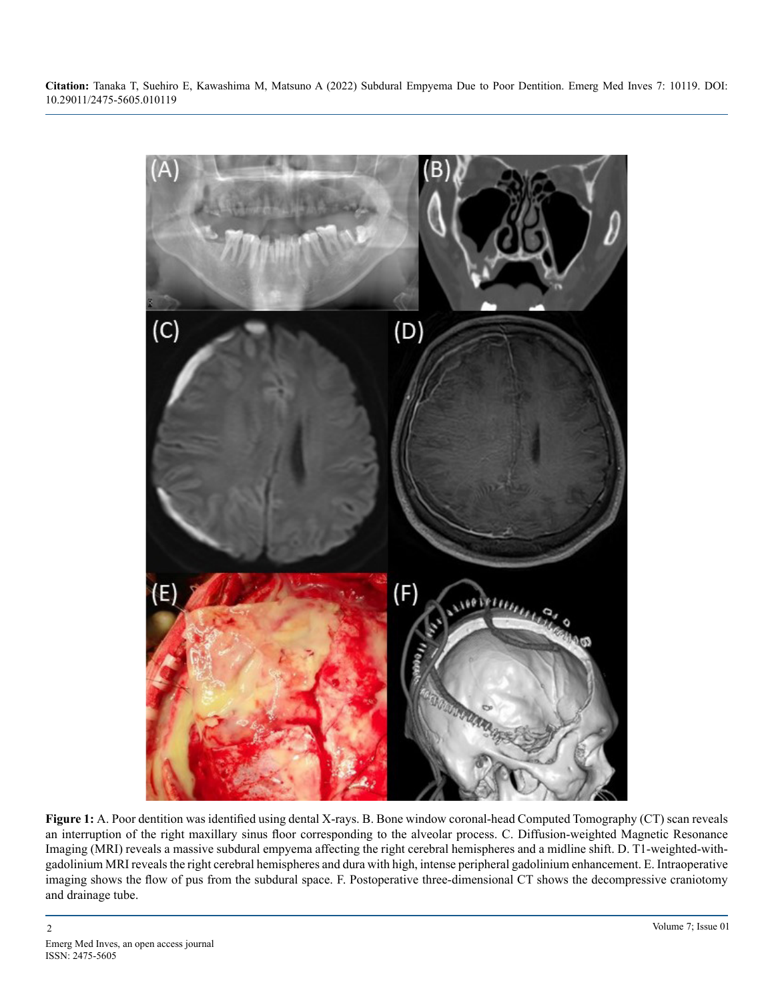**Citation:** Tanaka T, Suehiro E, Kawashima M, Matsuno A (2022) Subdural Empyema Due to Poor Dentition. Emerg Med Inves 7: 10119. DOI: 10.29011/2475-5605.010119



Figure 1: A. Poor dentition was identified using dental X-rays. B. Bone window coronal-head Computed Tomography (CT) scan reveals an interruption of the right maxillary sinus floor corresponding to the alveolar process. C. Diffusion-weighted Magnetic Resonance Imaging (MRI) reveals a massive subdural empyema affecting the right cerebral hemispheres and a midline shift. D. T1-weighted-withgadolinium MRI reveals the right cerebral hemispheres and dura with high, intense peripheral gadolinium enhancement. E. Intraoperative imaging shows the flow of pus from the subdural space. F. Postoperative three-dimensional CT shows the decompressive craniotomy and drainage tube.